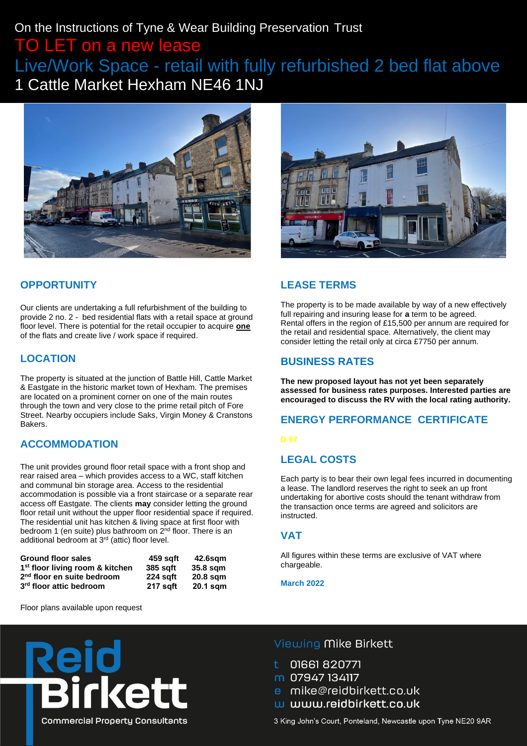# On the Instructions of Tyne & Wear Building Preservation Trust TO LET on a new lease Live/Work Space - retail with fully refurbished 2 bed flat above

1 Cattle Market Hexham NE46 1NJ





### **OPPORTUNITY**

Our clients are undertaking a full refurbishment of the building to provide 2 no. 2 - bed residential flats with a retail space at ground floor level. There is potential for the retail occupier to acquire **one** of the flats and create live / work space if required.

### **LOCATION**

The property is situated at the junction of Battle Hill, Cattle Market & Eastgate in the historic market town of Hexham. The premises are located on a prominent corner on one of the main routes through the town and very close to the prime retail pitch of Fore Street. Nearby occupiers include Saks, Virgin Money & Cranstons Bakers.

### **ACCOMMODATION**

The unit provides ground floor retail space with a front shop and rear raised area – which provides access to a WC, staff kitchen and communal bin storage area. Access to the residential accommodation is possible via a front staircase or a separate rear access off Eastgate. The clients **may** consider letting the ground floor retail unit without the upper floor residential space if required. The residential unit has kitchen & living space at first floor with bedroom 1 (en suite) plus bathroom on  $2^{nd}$  floor. There is an additional bedroom at 3<sup>rd</sup> (attic) floor level.

| <b>Ground floor sales</b>                   | 459 sqft        | 42.6sgm    |
|---------------------------------------------|-----------------|------------|
| 1 <sup>st</sup> floor living room & kitchen | <b>385 saft</b> | 35.8 sqm   |
| 2 <sup>nd</sup> floor en suite bedroom      | 224 saft        | 20.8 sqm   |
| 3rd floor attic bedroom                     | 217 saft        | $20.1$ sqm |

Floor plans available upon request

### **LEASE TERMS**

The property is to be made available by way of a new effectively full repairing and insuring lease for **a** term to be agreed. Rental offers in the region of £15,500 per annum are required for the retail and residential space. Alternatively, the client may consider letting the retail only at circa £7750 per annum.

#### **BUSINESS RATES**

**The new proposed layout has not yet been separately assessed for business rates purposes. Interested parties are encouraged to discuss the RV with the local rating authority.**

### **ENERGY PERFORMANCE CERTIFICATE**

#### **D 97**

#### **LEGAL COSTS**

Each party is to bear their own legal fees incurred in documenting a lease. The landlord reserves the right to seek an up front undertaking for abortive costs should the tenant withdraw from the transaction once terms are agreed and solicitors are instructed.

#### **VAT**

All figures within these terms are exclusive of VAT where chargeable.

#### **March 2022**



#### Viewing Mike Birkett

- 01661820771
- m 07947 134117
- e mike@reidbirkett.co.uk
- w www.reidbirkett.co.uk

3 King John's Court, Ponteland, Newcastle upon Tyne NE20 9AR